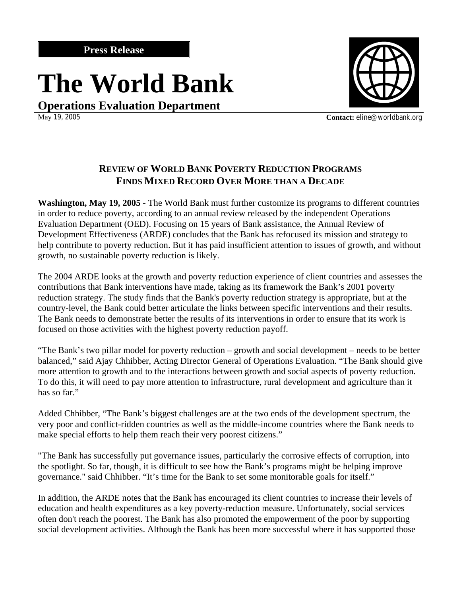## **The World Bank**

**Operations Evaluation Department**<br>May 19, 2005



**Contact:** eline@worldbank.org

## **REVIEW OF WORLD BANK POVERTY REDUCTION PROGRAMS FINDS MIXED RECORD OVER MORE THAN A DECADE**

**Washington, May 19, 2005 -** The World Bank must further customize its programs to different countries in order to reduce poverty, according to an annual review released by the independent Operations Evaluation Department (OED). Focusing on 15 years of Bank assistance, the Annual Review of Development Effectiveness (ARDE) concludes that the Bank has refocused its mission and strategy to help contribute to poverty reduction. But it has paid insufficient attention to issues of growth, and without growth, no sustainable poverty reduction is likely.

The 2004 ARDE looks at the growth and poverty reduction experience of client countries and assesses the contributions that Bank interventions have made, taking as its framework the Bank's 2001 poverty reduction strategy. The study finds that the Bank's poverty reduction strategy is appropriate, but at the country-level, the Bank could better articulate the links between specific interventions and their results. The Bank needs to demonstrate better the results of its interventions in order to ensure that its work is focused on those activities with the highest poverty reduction payoff.

"The Bank's two pillar model for poverty reduction – growth and social development – needs to be better balanced," said Ajay Chhibber, Acting Director General of Operations Evaluation. "The Bank should give more attention to growth and to the interactions between growth and social aspects of poverty reduction. To do this, it will need to pay more attention to infrastructure, rural development and agriculture than it has so far."

Added Chhibber, "The Bank's biggest challenges are at the two ends of the development spectrum, the very poor and conflict-ridden countries as well as the middle-income countries where the Bank needs to make special efforts to help them reach their very poorest citizens."

"The Bank has successfully put governance issues, particularly the corrosive effects of corruption, into the spotlight. So far, though, it is difficult to see how the Bank's programs might be helping improve governance." said Chhibber. "It's time for the Bank to set some monitorable goals for itself."

In addition, the ARDE notes that the Bank has encouraged its client countries to increase their levels of education and health expenditures as a key poverty-reduction measure. Unfortunately, social services often don't reach the poorest. The Bank has also promoted the empowerment of the poor by supporting social development activities. Although the Bank has been more successful where it has supported those